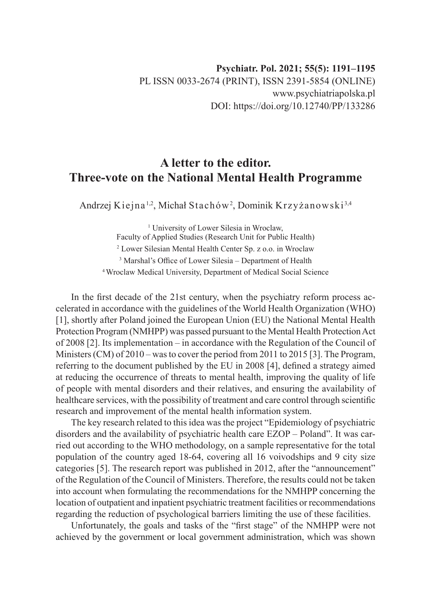## **A letter to the editor. Three-vote on the National Mental Health Programme**

Andrzej Kiejna<sup>1,2</sup>, Michał Stachów<sup>2</sup>, Dominik Krzyżanowski<sup>3,4</sup>

<sup>1</sup> University of Lower Silesia in Wroclaw, Faculty of Applied Studies (Research Unit for Public Health) 2 Lower Silesian Mental Health Center Sp. z o.o. in Wroclaw 3 Marshal's Office of Lower Silesia – Department of Health 4 Wroclaw Medical University, Department of Medical Social Science

In the first decade of the 21st century, when the psychiatry reform process accelerated in accordance with the guidelines of the World Health Organization (WHO) [1], shortly after Poland joined the European Union (EU) the National Mental Health Protection Program (NMHPP) was passed pursuant to the Mental Health Protection Act of 2008 [2]. Its implementation – in accordance with the Regulation of the Council of Ministers (CM) of 2010 – was to cover the period from 2011 to 2015 [3]. The Program, referring to the document published by the EU in 2008 [4], defined a strategy aimed at reducing the occurrence of threats to mental health, improving the quality of life of people with mental disorders and their relatives, and ensuring the availability of healthcare services, with the possibility of treatment and care control through scientific research and improvement of the mental health information system.

The key research related to this idea was the project "Epidemiology of psychiatric disorders and the availability of psychiatric health care EZOP – Poland". It was carried out according to the WHO methodology, on a sample representative for the total population of the country aged 18-64, covering all 16 voivodships and 9 city size categories [5]. The research report was published in 2012, after the "announcement" of the Regulation of the Council of Ministers. Therefore, the results could not be taken into account when formulating the recommendations for the NMHPP concerning the location of outpatient and inpatient psychiatric treatment facilities or recommendations regarding the reduction of psychological barriers limiting the use of these facilities.

Unfortunately, the goals and tasks of the "first stage" of the NMHPP were not achieved by the government or local government administration, which was shown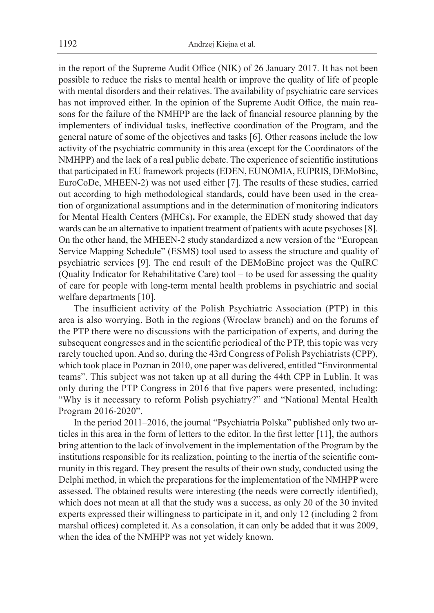in the report of the Supreme Audit Office (NIK) of 26 January 2017. It has not been possible to reduce the risks to mental health or improve the quality of life of people with mental disorders and their relatives. The availability of psychiatric care services has not improved either. In the opinion of the Supreme Audit Office, the main reasons for the failure of the NMHPP are the lack of financial resource planning by the implementers of individual tasks, ineffective coordination of the Program, and the general nature of some of the objectives and tasks [6]. Other reasons include the low activity of the psychiatric community in this area (except for the Coordinators of the NMHPP) and the lack of a real public debate. The experience of scientific institutions that participated in EU framework projects (EDEN, EUNOMIA, EUPRIS, DEMoBinc, EuroCoDe, MHEEN-2) was not used either [7]. The results of these studies, carried out according to high methodological standards, could have been used in the creation of organizational assumptions and in the determination of monitoring indicators for Mental Health Centers (MHCs)**.** For example, the EDEN study showed that day wards can be an alternative to inpatient treatment of patients with acute psychoses [8]. On the other hand, the MHEEN-2 study standardized a new version of the "European Service Mapping Schedule" (ESMS) tool used to assess the structure and quality of psychiatric services [9]. The end result of the DEMoBinc project was the QuIRC (Quality Indicator for Rehabilitative Care) tool – to be used for assessing the quality of care for people with long-term mental health problems in psychiatric and social welfare departments [10].

The insufficient activity of the Polish Psychiatric Association (PTP) in this area is also worrying. Both in the regions (Wroclaw branch) and on the forums of the PTP there were no discussions with the participation of experts, and during the subsequent congresses and in the scientific periodical of the PTP, this topic was very rarely touched upon. And so, during the 43rd Congress of Polish Psychiatrists (CPP), which took place in Poznan in 2010, one paper was delivered, entitled "Environmental teams". This subject was not taken up at all during the 44th CPP in Lublin. It was only during the PTP Congress in 2016 that five papers were presented, including: "Why is it necessary to reform Polish psychiatry?" and "National Mental Health Program 2016-2020".

In the period 2011–2016, the journal "Psychiatria Polska" published only two articles in this area in the form of letters to the editor. In the first letter [11], the authors bring attention to the lack of involvement in the implementation of the Program by the institutions responsible for its realization, pointing to the inertia of the scientific community in this regard. They present the results of their own study, conducted using the Delphi method, in which the preparations for the implementation of the NMHPP were assessed. The obtained results were interesting (the needs were correctly identified), which does not mean at all that the study was a success, as only 20 of the 30 invited experts expressed their willingness to participate in it, and only 12 (including 2 from marshal offices) completed it. As a consolation, it can only be added that it was 2009, when the idea of the NMHPP was not yet widely known.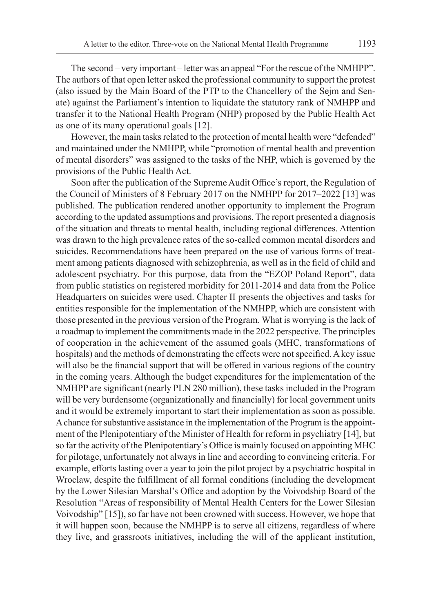The second – very important – letter was an appeal "For the rescue of the NMHPP". The authors of that open letter asked the professional community to support the protest (also issued by the Main Board of the PTP to the Chancellery of the Sejm and Senate) against the Parliament's intention to liquidate the statutory rank of NMHPP and transfer it to the National Health Program (NHP) proposed by the Public Health Act as one of its many operational goals [12].

However, the main tasks related to the protection of mental health were "defended" and maintained under the NMHPP, while "promotion of mental health and prevention of mental disorders" was assigned to the tasks of the NHP, which is governed by the provisions of the Public Health Act.

Soon after the publication of the Supreme Audit Office's report, the Regulation of the Council of Ministers of 8 February 2017 on the NMHPP for 2017–2022 [13] was published. The publication rendered another opportunity to implement the Program according to the updated assumptions and provisions. The report presented a diagnosis of the situation and threats to mental health, including regional differences. Attention was drawn to the high prevalence rates of the so-called common mental disorders and suicides. Recommendations have been prepared on the use of various forms of treatment among patients diagnosed with schizophrenia, as well as in the field of child and adolescent psychiatry. For this purpose, data from the "EZOP Poland Report", data from public statistics on registered morbidity for 2011-2014 and data from the Police Headquarters on suicides were used. Chapter II presents the objectives and tasks for entities responsible for the implementation of the NMHPP, which are consistent with those presented in the previous version of the Program. What is worrying is the lack of a roadmap to implement the commitments made in the 2022 perspective. The principles of cooperation in the achievement of the assumed goals (MHC, transformations of hospitals) and the methods of demonstrating the effects were not specified. A key issue will also be the financial support that will be offered in various regions of the country in the coming years. Although the budget expenditures for the implementation of the NMHPP are significant (nearly PLN 280 million), these tasks included in the Program will be very burdensome (organizationally and financially) for local government units and it would be extremely important to start their implementation as soon as possible. Achance for substantive assistance in the implementation of the Program is the appointment of the Plenipotentiary of the Minister of Health for reform in psychiatry [14], but so far the activity of the Plenipotentiary's Office is mainly focused on appointing MHC for pilotage, unfortunately not always in line and according to convincing criteria. For example, efforts lasting over a year to join the pilot project by a psychiatric hospital in Wroclaw, despite the fulfillment of all formal conditions (including the development by the Lower Silesian Marshal's Office and adoption by the Voivodship Board of the Resolution "Areas of responsibility of Mental Health Centers for the Lower Silesian Voivodship" [15]), so far have not been crowned with success. However, we hope that it will happen soon, because the NMHPP is to serve all citizens, regardless of where they live, and grassroots initiatives, including the will of the applicant institution,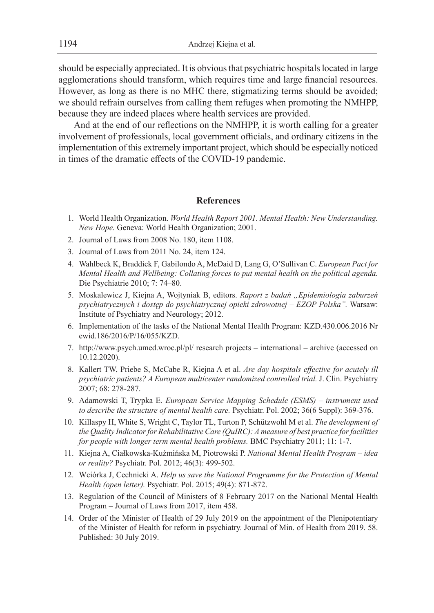should be especially appreciated. It is obvious that psychiatric hospitals located in large agglomerations should transform, which requires time and large financial resources. However, as long as there is no MHC there, stigmatizing terms should be avoided; we should refrain ourselves from calling them refuges when promoting the NMHPP, because they are indeed places where health services are provided.

And at the end of our reflections on the NMHPP, it is worth calling for a greater involvement of professionals, local government officials, and ordinary citizens in the implementation of this extremely important project, which should be especially noticed in times of the dramatic effects of the COVID-19 pandemic.

## **References**

- 1. World Health Organization. *World Health Report 2001. Mental Health: New Understanding. New Hope.* Geneva: World Health Organization; 2001.
- 2. Journal of Laws from 2008 No. 180, item 1108.
- 3. Journal of Laws from 2011 No. 24, item 124.
- 4. Wahlbeck K, Braddick F, Gabilondo A, McDaid D, Lang G, O'Sullivan C. *European Pact for Mental Health and Wellbeing: Collating forces to put mental health on the political agenda.*  Die Psychiatrie 2010; 7: 74–80.
- 5. Moskalewicz J, Kiejna A, Wojtyniak B, editors. *Raport z badań "Epidemiologia zaburzeń psychiatrycznych i dostęp do psychiatrycznej opieki zdrowotnej – EZOP Polska".* Warsaw: Institute of Psychiatry and Neurology; 2012.
- 6. Implementation of the tasks of the National Mental Health Program: KZD.430.006.2016 Nr ewid.186/2016/P/16/055/KZD.
- 7. http://www.psych.umed.wroc.pl/pl/ research projects international archive (accessed on 10.12.2020).
- 8. Kallert TW, Priebe S, McCabe R, Kiejna A et al. *Are day hospitals effective for acutely ill psychiatric patients? A European multicenter randomized controlled trial.* J. Clin. Psychiatry 2007; 68: 278-287.
- 9. Adamowski T, Trypka E. *European Service Mapping Schedule (ESMS) instrument used to describe the structure of mental health care.* Psychiatr. Pol. 2002; 36(6 Suppl): 369-376.
- 10. Killaspy H, White S, Wright C, Taylor TL, Turton P, Schützwohl M et al. *The development of the Quality Indicator for Rehabilitative Care (QuIRC): A measure of best practice for facilities for people with longer term mental health problems.* BMC Psychiatry 2011; 11: 1-7.
- 11. Kiejna A, Ciałkowska-Kuźmińska M, Piotrowski P. *National Mental Health Program idea or reality?* Psychiatr. Pol. 2012; 46(3): 499-502.
- 12. Wciórka J, Cechnicki A. *Help us save the National Programme for the Protection of Mental Health (open letter).* Psychiatr. Pol. 2015; 49(4): 871-872.
- 13. Regulation of the Council of Ministers of 8 February 2017 on the National Mental Health Program – Journal of Laws from 2017, item 458.
- 14. Order of the Minister of Health of 29 July 2019 on the appointment of the Plenipotentiary of the Minister of Health for reform in psychiatry. Journal of Min. of Health from 2019. 58. Published: 30 July 2019.